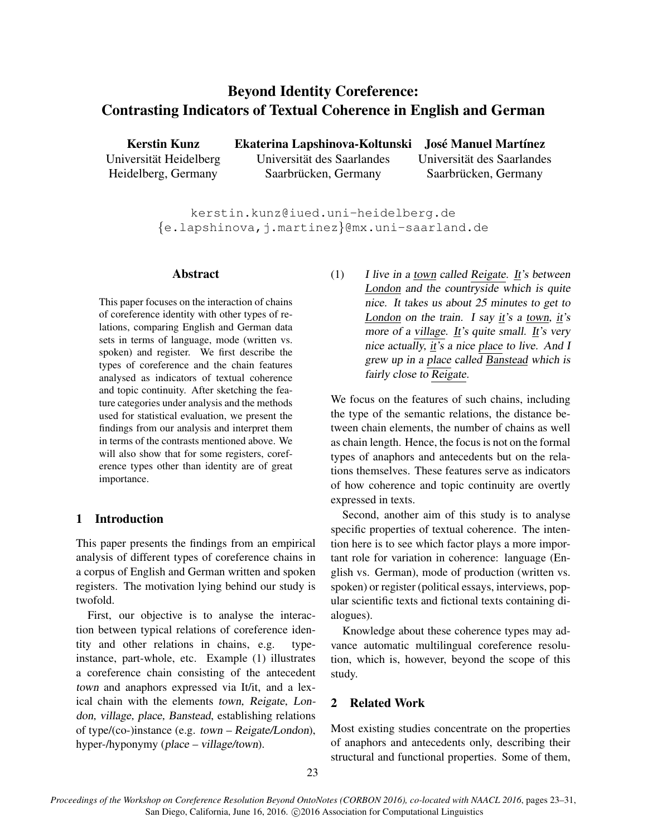# Beyond Identity Coreference: Contrasting Indicators of Textual Coherence in English and German

Kerstin Kunz Universität Heidelberg Heidelberg, Germany

Ekaterina Lapshinova-Koltunski José Manuel Martínez Universität des Saarlandes Saarbrücken, Germany Universitat des Saarlandes ¨ Saarbrücken, Germany

kerstin.kunz@iued.uni-heidelberg.de {e.lapshinova,j.martinez}@mx.uni-saarland.de

## Abstract

This paper focuses on the interaction of chains of coreference identity with other types of relations, comparing English and German data sets in terms of language, mode (written vs. spoken) and register. We first describe the types of coreference and the chain features analysed as indicators of textual coherence and topic continuity. After sketching the feature categories under analysis and the methods used for statistical evaluation, we present the findings from our analysis and interpret them in terms of the contrasts mentioned above. We will also show that for some registers, coreference types other than identity are of great importance.

## 1 Introduction

This paper presents the findings from an empirical analysis of different types of coreference chains in a corpus of English and German written and spoken registers. The motivation lying behind our study is twofold.

First, our objective is to analyse the interaction between typical relations of coreference identity and other relations in chains, e.g. typeinstance, part-whole, etc. Example (1) illustrates a coreference chain consisting of the antecedent town and anaphors expressed via It/it, and a lexical chain with the elements town, Reigate, London, village, place, Banstead, establishing relations of type/(co-)instance (e.g. town – Reigate/London), hyper-/hyponymy (place – village/town).

(1) I live in a town called Reigate. It's between London and the countryside which is quite nice. It takes us about 25 minutes to get to London on the train. I say it's a town, it's more of a village. It's quite small. It's very nice actually,  $\underline{if}$ 's a nice place to live. And I grew up in a place called Banstead which is fairly close to Reigate.

We focus on the features of such chains, including the type of the semantic relations, the distance between chain elements, the number of chains as well as chain length. Hence, the focus is not on the formal types of anaphors and antecedents but on the relations themselves. These features serve as indicators of how coherence and topic continuity are overtly expressed in texts.

Second, another aim of this study is to analyse specific properties of textual coherence. The intention here is to see which factor plays a more important role for variation in coherence: language (English vs. German), mode of production (written vs. spoken) or register (political essays, interviews, popular scientific texts and fictional texts containing dialogues).

Knowledge about these coherence types may advance automatic multilingual coreference resolution, which is, however, beyond the scope of this study.

## 2 Related Work

Most existing studies concentrate on the properties of anaphors and antecedents only, describing their structural and functional properties. Some of them,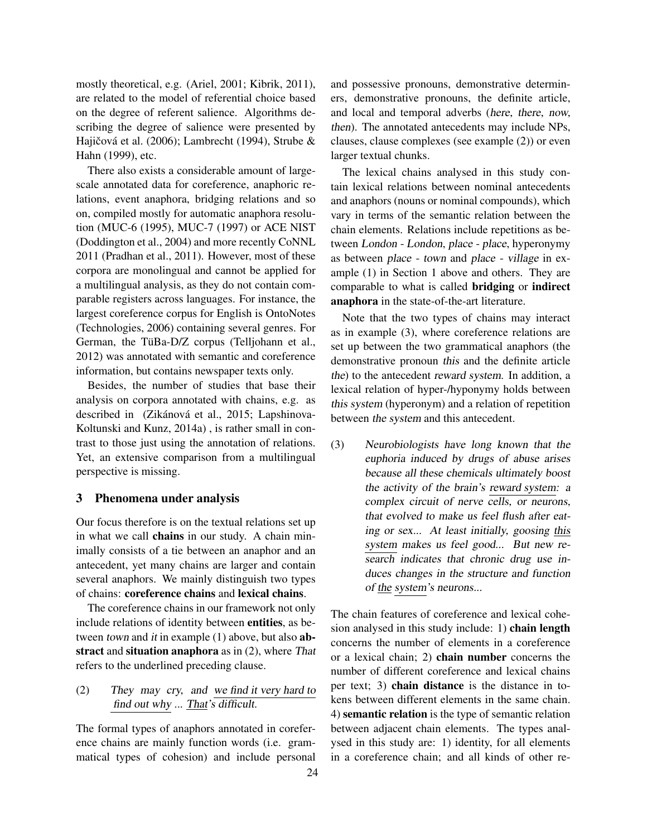mostly theoretical, e.g. (Ariel, 2001; Kibrik, 2011), are related to the model of referential choice based on the degree of referent salience. Algorithms describing the degree of salience were presented by Hajičová et al. (2006); Lambrecht (1994), Strube  $\&$ Hahn (1999), etc.

There also exists a considerable amount of largescale annotated data for coreference, anaphoric relations, event anaphora, bridging relations and so on, compiled mostly for automatic anaphora resolution (MUC-6 (1995), MUC-7 (1997) or ACE NIST (Doddington et al., 2004) and more recently CoNNL 2011 (Pradhan et al., 2011). However, most of these corpora are monolingual and cannot be applied for a multilingual analysis, as they do not contain comparable registers across languages. For instance, the largest coreference corpus for English is OntoNotes (Technologies, 2006) containing several genres. For German, the TüBa-D/Z corpus (Telljohann et al., 2012) was annotated with semantic and coreference information, but contains newspaper texts only.

Besides, the number of studies that base their analysis on corpora annotated with chains, e.g. as described in (Zikánová et al., 2015; Lapshinova-Koltunski and Kunz, 2014a) , is rather small in contrast to those just using the annotation of relations. Yet, an extensive comparison from a multilingual perspective is missing.

## 3 Phenomena under analysis

Our focus therefore is on the textual relations set up in what we call **chains** in our study. A chain minimally consists of a tie between an anaphor and an antecedent, yet many chains are larger and contain several anaphors. We mainly distinguish two types of chains: coreference chains and lexical chains.

The coreference chains in our framework not only include relations of identity between entities, as between town and it in example (1) above, but also **ab**stract and situation anaphora as in (2), where That refers to the underlined preceding clause.

## (2) They may cry, and we find it very hard to find out why ... That's difficult.

The formal types of anaphors annotated in coreference chains are mainly function words (i.e. grammatical types of cohesion) and include personal and possessive pronouns, demonstrative determiners, demonstrative pronouns, the definite article, and local and temporal adverbs (here, there, now, then). The annotated antecedents may include NPs, clauses, clause complexes (see example (2)) or even larger textual chunks.

The lexical chains analysed in this study contain lexical relations between nominal antecedents and anaphors (nouns or nominal compounds), which vary in terms of the semantic relation between the chain elements. Relations include repetitions as between London - London, place - place, hyperonymy as between place - town and place - village in example (1) in Section 1 above and others. They are comparable to what is called bridging or indirect anaphora in the state-of-the-art literature.

Note that the two types of chains may interact as in example (3), where coreference relations are set up between the two grammatical anaphors (the demonstrative pronoun this and the definite article the) to the antecedent reward system. In addition, a lexical relation of hyper-/hyponymy holds between this system (hyperonym) and a relation of repetition between the system and this antecedent.

(3) Neurobiologists have long known that the euphoria induced by drugs of abuse arises because all these chemicals ultimately boost the activity of the brain's reward system: a complex circuit of nerve cells, or neurons, that evolved to make us feel flush after eating or sex... At least initially, goosing this system makes us feel good... But new research indicates that chronic drug use induces changes in the structure and function of the system's neurons...

The chain features of coreference and lexical cohesion analysed in this study include: 1) chain length concerns the number of elements in a coreference or a lexical chain; 2) chain number concerns the number of different coreference and lexical chains per text; 3) chain distance is the distance in tokens between different elements in the same chain. 4) semantic relation is the type of semantic relation between adjacent chain elements. The types analysed in this study are: 1) identity, for all elements in a coreference chain; and all kinds of other re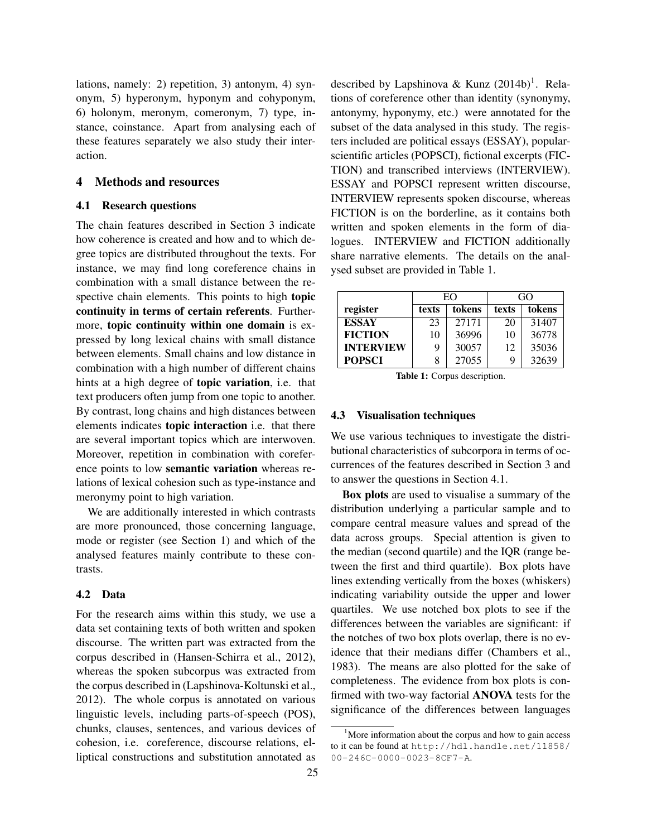lations, namely: 2) repetition, 3) antonym, 4) synonym, 5) hyperonym, hyponym and cohyponym, 6) holonym, meronym, comeronym, 7) type, instance, coinstance. Apart from analysing each of these features separately we also study their interaction.

## 4 Methods and resources

#### 4.1 Research questions

The chain features described in Section 3 indicate how coherence is created and how and to which degree topics are distributed throughout the texts. For instance, we may find long coreference chains in combination with a small distance between the respective chain elements. This points to high topic continuity in terms of certain referents. Furthermore, topic continuity within one domain is expressed by long lexical chains with small distance between elements. Small chains and low distance in combination with a high number of different chains hints at a high degree of topic variation, i.e. that text producers often jump from one topic to another. By contrast, long chains and high distances between elements indicates topic interaction i.e. that there are several important topics which are interwoven. Moreover, repetition in combination with coreference points to low semantic variation whereas relations of lexical cohesion such as type-instance and meronymy point to high variation.

We are additionally interested in which contrasts are more pronounced, those concerning language, mode or register (see Section 1) and which of the analysed features mainly contribute to these contrasts.

## 4.2 Data

For the research aims within this study, we use a data set containing texts of both written and spoken discourse. The written part was extracted from the corpus described in (Hansen-Schirra et al., 2012), whereas the spoken subcorpus was extracted from the corpus described in (Lapshinova-Koltunski et al., 2012). The whole corpus is annotated on various linguistic levels, including parts-of-speech (POS), chunks, clauses, sentences, and various devices of cohesion, i.e. coreference, discourse relations, elliptical constructions and substitution annotated as

described by Lapshinova & Kunz (2014b)<sup>1</sup>. Relations of coreference other than identity (synonymy, antonymy, hyponymy, etc.) were annotated for the subset of the data analysed in this study. The registers included are political essays (ESSAY), popularscientific articles (POPSCI), fictional excerpts (FIC-TION) and transcribed interviews (INTERVIEW). ESSAY and POPSCI represent written discourse, INTERVIEW represents spoken discourse, whereas FICTION is on the borderline, as it contains both written and spoken elements in the form of dialogues. INTERVIEW and FICTION additionally share narrative elements. The details on the analysed subset are provided in Table 1.

|                  | EO    |        | GO    |        |
|------------------|-------|--------|-------|--------|
| register         | texts | tokens | texts | tokens |
| <b>ESSAY</b>     | 23    | 27171  | 20    | 31407  |
| <b>FICTION</b>   | 10    | 36996  | 10    | 36778  |
| <b>INTERVIEW</b> | 9     | 30057  | 12    | 35036  |
| <b>POPSCI</b>    | 8     | 27055  | 9     | 32639  |

Table 1: Corpus description.

#### 4.3 Visualisation techniques

We use various techniques to investigate the distributional characteristics of subcorpora in terms of occurrences of the features described in Section 3 and to answer the questions in Section 4.1.

Box plots are used to visualise a summary of the distribution underlying a particular sample and to compare central measure values and spread of the data across groups. Special attention is given to the median (second quartile) and the IQR (range between the first and third quartile). Box plots have lines extending vertically from the boxes (whiskers) indicating variability outside the upper and lower quartiles. We use notched box plots to see if the differences between the variables are significant: if the notches of two box plots overlap, there is no evidence that their medians differ (Chambers et al., 1983). The means are also plotted for the sake of completeness. The evidence from box plots is confirmed with two-way factorial ANOVA tests for the significance of the differences between languages

 $1$ More information about the corpus and how to gain access to it can be found at http://hdl.handle.net/11858/ 00-246C-0000-0023-8CF7-A.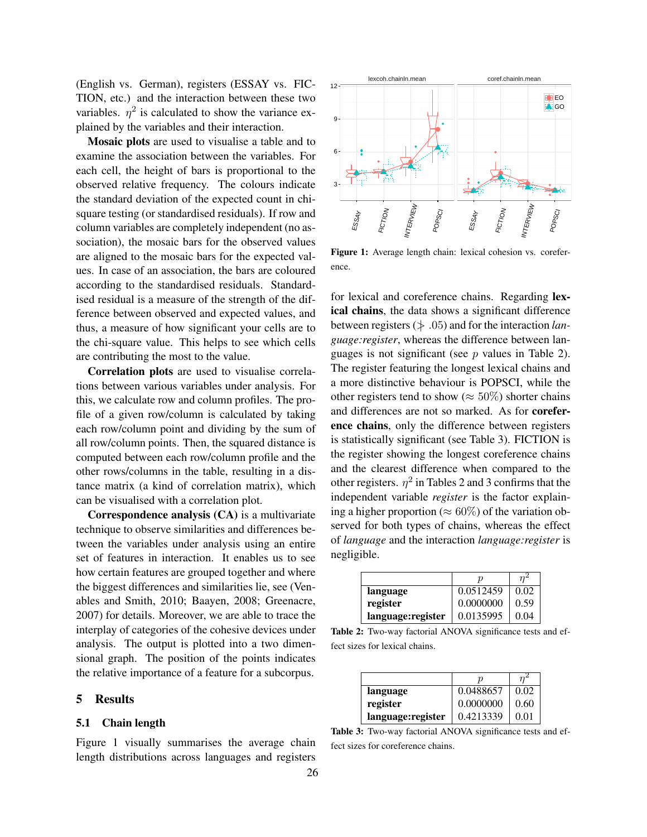(English vs. German), registers (ESSAY vs. FIC-TION, etc.) and the interaction between these two variables.  $\eta^2$  is calculated to show the variance explained by the variables and their interaction.

Mosaic plots are used to visualise a table and to examine the association between the variables. For each cell, the height of bars is proportional to the observed relative frequency. The colours indicate the standard deviation of the expected count in chisquare testing (or standardised residuals). If row and column variables are completely independent (no association), the mosaic bars for the observed values are aligned to the mosaic bars for the expected values. In case of an association, the bars are coloured according to the standardised residuals. Standardised residual is a measure of the strength of the difference between observed and expected values, and thus, a measure of how significant your cells are to the chi-square value. This helps to see which cells are contributing the most to the value.

Correlation plots are used to visualise correlations between various variables under analysis. For this, we calculate row and column profiles. The profile of a given row/column is calculated by taking each row/column point and dividing by the sum of all row/column points. Then, the squared distance is computed between each row/column profile and the other rows/columns in the table, resulting in a distance matrix (a kind of correlation matrix), which can be visualised with a correlation plot.

Correspondence analysis (CA) is a multivariate technique to observe similarities and differences between the variables under analysis using an entire set of features in interaction. It enables us to see how certain features are grouped together and where the biggest differences and similarities lie, see (Venables and Smith, 2010; Baayen, 2008; Greenacre, 2007) for details. Moreover, we are able to trace the interplay of categories of the cohesive devices under analysis. The output is plotted into a two dimensional graph. The position of the points indicates the relative importance of a feature for a subcorpus.

#### 5 Results

#### 5.1 Chain length

Figure 1 visually summarises the average chain length distributions across languages and registers



Figure 1: Average length chain: lexical cohesion vs. coreference.

for lexical and coreference chains. Regarding lexical chains, the data shows a significant difference between registers  $(\neq .05)$  and for the interaction *language:register*, whereas the difference between languages is not significant (see  $p$  values in Table 2). The register featuring the longest lexical chains and a more distinctive behaviour is POPSCI, while the other registers tend to show ( $\approx 50\%$ ) shorter chains and differences are not so marked. As for coreference chains, only the difference between registers is statistically significant (see Table 3). FICTION is the register showing the longest coreference chains and the clearest difference when compared to the other registers.  $\eta^2$  in Tables 2 and 3 confirms that the independent variable *register* is the factor explaining a higher proportion ( $\approx 60\%$ ) of the variation observed for both types of chains, whereas the effect of *language* and the interaction *language:register* is negligible.

|                   | ŋ         |      |
|-------------------|-----------|------|
| language          | 0.0512459 | 0.02 |
| register          | 0.0000000 | 0.59 |
| language:register | 0.0135995 | 0.04 |

Table 2: Two-way factorial ANOVA significance tests and effect sizes for lexical chains.

|                   | р         |      |
|-------------------|-----------|------|
| language          | 0.0488657 | 0.02 |
| register          | 0.0000000 | 0.60 |
| language:register | 0.4213339 | 0.01 |

Table 3: Two-way factorial ANOVA significance tests and effect sizes for coreference chains.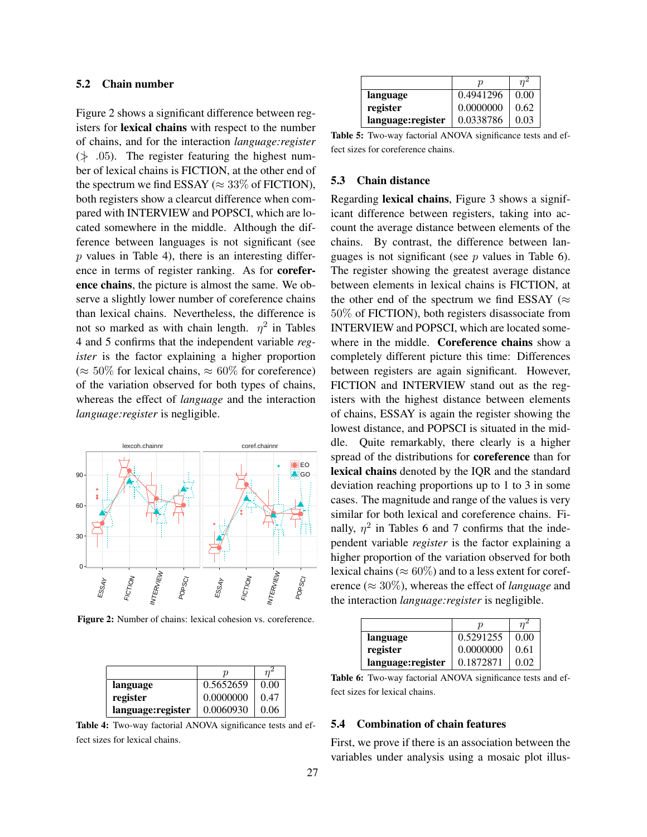## 5.2 Chain number

Figure 2 shows a significant difference between registers for lexical chains with respect to the number of chains, and for the interaction *language:register*  $(\nless$  .05). The register featuring the highest number of lexical chains is FICTION, at the other end of the spectrum we find ESSAY ( $\approx 33\%$  of FICTION), both registers show a clearcut difference when compared with INTERVIEW and POPSCI, which are located somewhere in the middle. Although the difference between languages is not significant (see  $p$  values in Table 4), there is an interesting difference in terms of register ranking. As for coreference chains, the picture is almost the same. We observe a slightly lower number of coreference chains than lexical chains. Nevertheless, the difference is not so marked as with chain length.  $\eta^2$  in Tables 4 and 5 confirms that the independent variable *register* is the factor explaining a higher proportion (≈ 50% for lexical chains, ≈ 60% for coreference) of the variation observed for both types of chains, whereas the effect of *language* and the interaction *language:register* is negligible.



Figure 2: Number of chains: lexical cohesion vs. coreference.

|                   | р         |      |
|-------------------|-----------|------|
| language          | 0.5652659 | 0.00 |
| register          | 0.0000000 | 0.47 |
| language:register | 0.0060930 | 0.06 |

Table 4: Two-way factorial ANOVA significance tests and effect sizes for lexical chains.

| language           | 0.4941296 | 0.00 |
|--------------------|-----------|------|
| register           | 0.0000000 | 0.62 |
| language: register | 0.0338786 | 0.03 |

Table 5: Two-way factorial ANOVA significance tests and effect sizes for coreference chains.

#### 5.3 Chain distance

Regarding lexical chains, Figure 3 shows a significant difference between registers, taking into account the average distance between elements of the chains. By contrast, the difference between languages is not significant (see  $p$  values in Table 6). The register showing the greatest average distance between elements in lexical chains is FICTION, at the other end of the spectrum we find ESSAY ( $\approx$ 50% of FICTION), both registers disassociate from INTERVIEW and POPSCI, which are located somewhere in the middle. Coreference chains show a completely different picture this time: Differences between registers are again significant. However, FICTION and INTERVIEW stand out as the registers with the highest distance between elements of chains, ESSAY is again the register showing the lowest distance, and POPSCI is situated in the middle. Quite remarkably, there clearly is a higher spread of the distributions for coreference than for lexical chains denoted by the IQR and the standard deviation reaching proportions up to 1 to 3 in some cases. The magnitude and range of the values is very similar for both lexical and coreference chains. Finally,  $\eta^2$  in Tables 6 and 7 confirms that the independent variable *register* is the factor explaining a higher proportion of the variation observed for both lexical chains ( $\approx 60\%$ ) and to a less extent for coreference ( $\approx 30\%$ ), whereas the effect of *language* and the interaction *language:register* is negligible.

|                    | п         |      |
|--------------------|-----------|------|
| language           | 0.5291255 | 0.00 |
| register           | 0.0000000 | 0.61 |
| language: register | 0.1872871 | 0.02 |

Table 6: Two-way factorial ANOVA significance tests and effect sizes for lexical chains.

## 5.4 Combination of chain features

First, we prove if there is an association between the variables under analysis using a mosaic plot illus-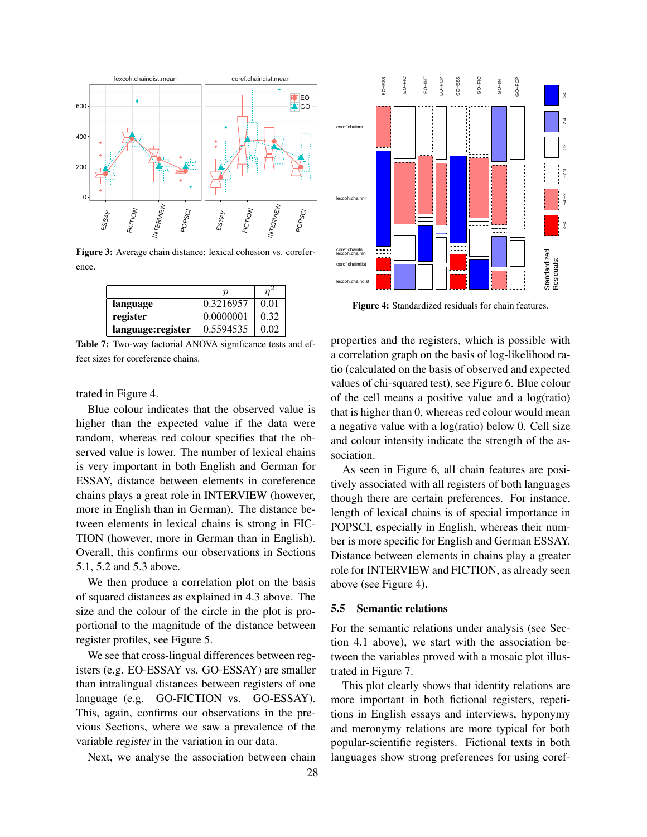

Figure 3: Average chain distance: lexical cohesion vs. coreference.

|                   | ŋ         |      |
|-------------------|-----------|------|
| language          | 0.3216957 | 0.01 |
| register          | 0.0000001 | 0.32 |
| language:register | 0.5594535 | 0.02 |

Table 7: Two-way factorial ANOVA significance tests and effect sizes for coreference chains.

trated in Figure 4.

Blue colour indicates that the observed value is higher than the expected value if the data were random, whereas red colour specifies that the observed value is lower. The number of lexical chains is very important in both English and German for ESSAY, distance between elements in coreference chains plays a great role in INTERVIEW (however, more in English than in German). The distance between elements in lexical chains is strong in FIC-TION (however, more in German than in English). Overall, this confirms our observations in Sections 5.1, 5.2 and 5.3 above.

We then produce a correlation plot on the basis of squared distances as explained in 4.3 above. The size and the colour of the circle in the plot is proportional to the magnitude of the distance between register profiles, see Figure 5.

We see that cross-lingual differences between registers (e.g. EO-ESSAY vs. GO-ESSAY) are smaller than intralingual distances between registers of one language (e.g. GO-FICTION vs. GO-ESSAY). This, again, confirms our observations in the previous Sections, where we saw a prevalence of the variable register in the variation in our data.

Next, we analyse the association between chain



Figure 4: Standardized residuals for chain features.

properties and the registers, which is possible with a correlation graph on the basis of log-likelihood ratio (calculated on the basis of observed and expected values of chi-squared test), see Figure 6. Blue colour of the cell means a positive value and a log(ratio) that is higher than 0, whereas red colour would mean a negative value with a log(ratio) below 0. Cell size and colour intensity indicate the strength of the association.

As seen in Figure 6, all chain features are positively associated with all registers of both languages though there are certain preferences. For instance, length of lexical chains is of special importance in POPSCI, especially in English, whereas their number is more specific for English and German ESSAY. Distance between elements in chains play a greater role for INTERVIEW and FICTION, as already seen above (see Figure 4).

## 5.5 Semantic relations

For the semantic relations under analysis (see Section 4.1 above), we start with the association between the variables proved with a mosaic plot illustrated in Figure 7.

This plot clearly shows that identity relations are more important in both fictional registers, repetitions in English essays and interviews, hyponymy and meronymy relations are more typical for both popular-scientific registers. Fictional texts in both languages show strong preferences for using coref-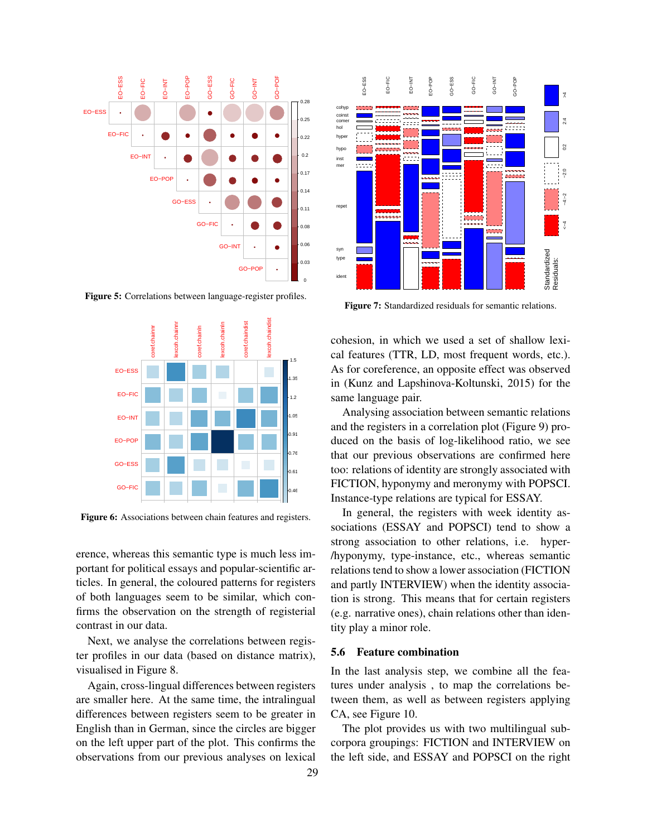

Figure 5: Correlations between language-register profiles.



Figure 6: Associations between chain features and registers.

erence, whereas this semantic type is much less important for political essays and popular-scientific articles. In general, the coloured patterns for registers of both languages seem to be similar, which confirms the observation on the strength of registerial contrast in our data.

Next, we analyse the correlations between register profiles in our data (based on distance matrix), visualised in Figure 8.

Again, cross-lingual differences between registers are smaller here. At the same time, the intralingual differences between registers seem to be greater in English than in German, since the circles are bigger on the left upper part of the plot. This confirms the observations from our previous analyses on lexical



Figure 7: Standardized residuals for semantic relations.

cohesion, in which we used a set of shallow lexical features (TTR, LD, most frequent words, etc.). As for coreference, an opposite effect was observed in (Kunz and Lapshinova-Koltunski, 2015) for the same language pair.

Analysing association between semantic relations and the registers in a correlation plot (Figure 9) produced on the basis of log-likelihood ratio, we see that our previous observations are confirmed here too: relations of identity are strongly associated with FICTION, hyponymy and meronymy with POPSCI. Instance-type relations are typical for ESSAY.

In general, the registers with week identity associations (ESSAY and POPSCI) tend to show a strong association to other relations, i.e. hyper- /hyponymy, type-instance, etc., whereas semantic relations tend to show a lower association (FICTION and partly INTERVIEW) when the identity association is strong. This means that for certain registers (e.g. narrative ones), chain relations other than identity play a minor role.

#### 5.6 Feature combination

In the last analysis step, we combine all the features under analysis , to map the correlations between them, as well as between registers applying CA, see Figure 10.

The plot provides us with two multilingual subcorpora groupings: FICTION and INTERVIEW on the left side, and ESSAY and POPSCI on the right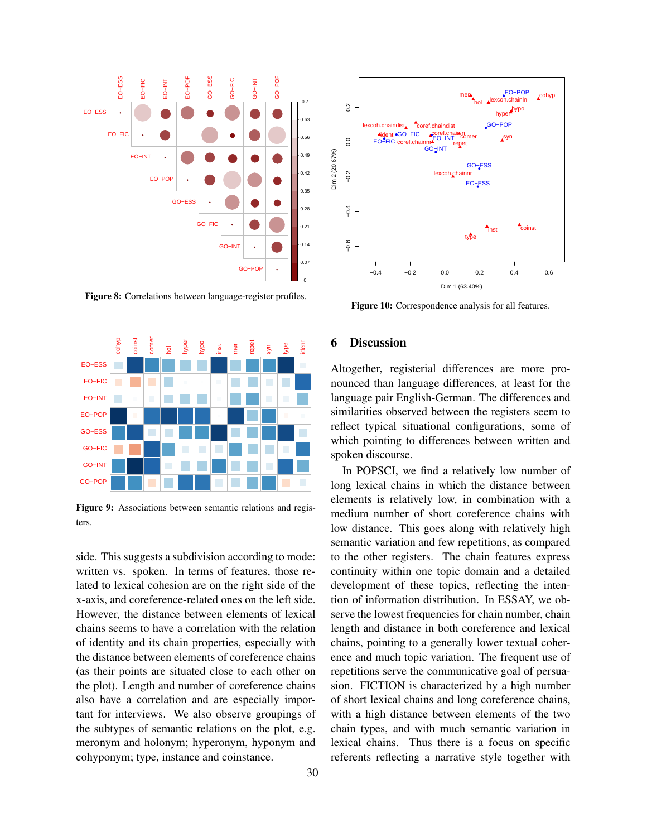

Figure 8: Correlations between language-register profiles.



Figure 9: Associations between semantic relations and registers.

side. This suggests a subdivision according to mode: written vs. spoken. In terms of features, those related to lexical cohesion are on the right side of the x-axis, and coreference-related ones on the left side. However, the distance between elements of lexical chains seems to have a correlation with the relation of identity and its chain properties, especially with the distance between elements of coreference chains (as their points are situated close to each other on the plot). Length and number of coreference chains also have a correlation and are especially important for interviews. We also observe groupings of the subtypes of semantic relations on the plot, e.g. meronym and holonym; hyperonym, hyponym and cohyponym; type, instance and coinstance.



Figure 10: Correspondence analysis for all features.

## 6 Discussion

spoken discourse. which pointing to differences between written and reflect typical situational configurations, some of similarities observed between the registers seem to language pair English-German. The differences and nounced than language differences, at least for the Altogether, registerial differences are more pro-

long lexical chains in which the distance between In POPSCI, we find a relatively low number of elements is relatively low, in combination with a medium number of short coreference chains with low distance. This goes along with relatively high semantic variation and few repetitions, as compared to the other registers. The chain features express continuity within one topic domain and a detailed development of these topics, reflecting the intention of information distribution. In ESSAY, we observe the lowest frequencies for chain number, chain length and distance in both coreference and lexical chains, pointing to a generally lower textual coherence and much topic variation. The frequent use of repetitions serve the communicative goal of persuasion. FICTION is characterized by a high number of short lexical chains and long coreference chains, with a high distance between elements of the two chain types, and with much semantic variation in lexical chains. Thus there is a focus on specific referents reflecting a narrative style together with